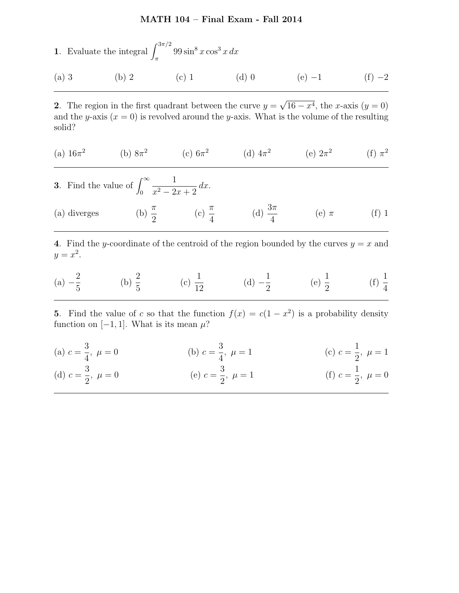## MATH 104 – Final Exam - Fall 2014

1. Evaluate the integral 
$$
\int_{\pi}^{3\pi/2} 99 \sin^8 x \cos^3 x \, dx
$$
  
\n(a) 3 \t\t (b) 2 \t\t (c) 1 \t\t (d) 0 \t\t (e) -1 \t\t (f) -2

2. The region in the first quadrant between the curve  $y =$ √  $16 - x^4$ , the x-axis  $(y = 0)$ and the y-axis  $(x = 0)$  is revolved around the y-axis. What is the volume of the resulting solid?

(a) 
$$
16\pi^2
$$
 (b)  $8\pi^2$  (c)  $6\pi^2$  (d)  $4\pi^2$  (e)  $2\pi^2$  (f)  $\pi^2$ 

**3.** Find the value of 
$$
\int_0^\infty \frac{1}{x^2 - 2x + 2} dx.
$$
\n(a) diverges\n(b)  $\frac{\pi}{2}$ \n(c)  $\frac{\pi}{4}$ \n(d)  $\frac{3\pi}{4}$ \n(e)  $\pi$ \n(f) 1

4. Find the y-coordinate of the centroid of the region bounded by the curves  $y = x$  and  $y = x^2$ .

(a) 
$$
-\frac{2}{5}
$$
 (b)  $\frac{2}{5}$  (c)  $\frac{1}{12}$  (d)  $-\frac{1}{2}$  (e)  $\frac{1}{2}$  (f)  $\frac{1}{4}$ 

**5.** Find the value of c so that the function  $f(x) = c(1 - x^2)$  is a probability density function on  $[-1, 1]$ . What is its mean  $\mu$ ?

(a) 
$$
c = \frac{3}{4}
$$
,  $\mu = 0$   
\n(b)  $c = \frac{3}{4}$ ,  $\mu = 1$   
\n(c)  $c = \frac{1}{2}$ ,  $\mu = 1$   
\n(d)  $c = \frac{3}{2}$ ,  $\mu = 0$   
\n(e)  $c = \frac{3}{2}$ ,  $\mu = 1$   
\n(f)  $c = \frac{1}{2}$ ,  $\mu = 0$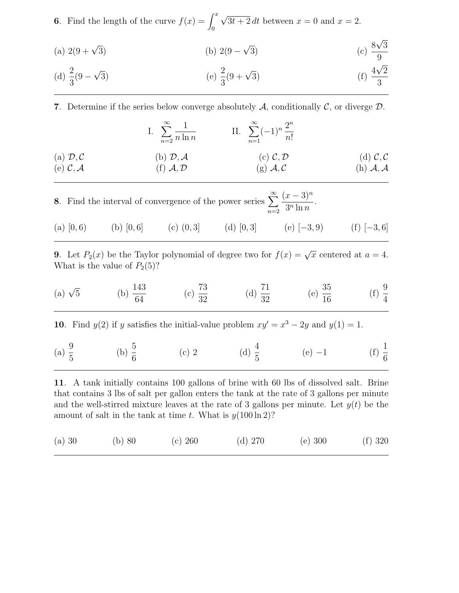**6**. Find the length of the curve  $f(x) = \int_0^x$ √  $3t + 2 dt$  between  $x = 0$  and  $x = 2$ .

(a) 
$$
2(9+\sqrt{3})
$$
 (b)  $2(9-\sqrt{3})$  (c)  $\frac{8\sqrt{3}}{9}$ 

√

(d) 
$$
\frac{2}{3}(9-\sqrt{3})
$$
 (e)  $\frac{2}{3}(9+\sqrt{3})$  (f)  $\frac{4\sqrt{2}}{3}$ 

7. Determine if the series below converge absolutely A, conditionally C, or diverge  $\mathcal{D}$ .

$$
\begin{array}{ll}\n\text{I.} & \sum_{n=2}^{\infty} \frac{1}{n \ln n} & \text{II.} & \sum_{n=1}^{\infty} (-1)^n \frac{2^n}{n!} \\
\text{(a) } \mathcal{D}, \mathcal{C} & \text{(b) } \mathcal{D}, \mathcal{A} & \text{(c) } \mathcal{C}, \mathcal{D} \\
\text{(e) } \mathcal{C}, \mathcal{A} & \text{(f) } \mathcal{A}, \mathcal{D} & \text{(g) } \mathcal{A}, \mathcal{C} & \text{(h) } \mathcal{A}, \mathcal{A}\n\end{array}
$$

8. Find the interval of convergence of the power series  $\sum_{n=1}^{\infty}$  $n=2$  $(x-3)^n$  $\frac{x}{3^n \ln n}$ .

(a)  $[0, 6)$  (b)  $[0, 6]$  (c)  $(0, 3]$  (d)  $[0, 3]$  (e)  $[-3, 9)$  (f)  $[-3, 6]$ 

**9**. Let  $P_2(x)$  be the Taylor polynomial of degree two for  $f(x) = \sqrt{x}$  centered at  $a = 4$ . What is the value of  $P_2(5)$ ?

(a) 
$$
\sqrt{5}
$$
 (b)  $\frac{143}{64}$  (c)  $\frac{73}{32}$  (d)  $\frac{71}{32}$  (e)  $\frac{35}{16}$  (f)  $\frac{9}{4}$ 

10. Find  $y(2)$  if y satisfies the initial-value problem  $xy' = x^3 - 2y$  and  $y(1) = 1$ .

(a) 
$$
\frac{9}{5}
$$
 (b)  $\frac{5}{6}$  (c) 2 (d)  $\frac{4}{5}$  (e) -1 (f)  $\frac{1}{6}$ 

11. A tank initially contains 100 gallons of brine with 60 lbs of dissolved salt. Brine that contains 3 lbs of salt per gallon enters the tank at the rate of 3 gallons per minute and the well-stirred mixture leaves at the rate of 3 gallons per minute. Let  $y(t)$  be the amount of salt in the tank at time t. What is  $y(100 \ln 2)$ ?

| $(a)$ 30 | (b) 80 | (c) 260 | $(d)$ 270 | (e) 300 | (f) 320 |
|----------|--------|---------|-----------|---------|---------|
|----------|--------|---------|-----------|---------|---------|